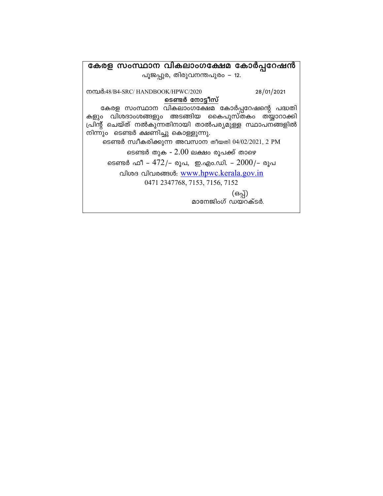കേരള സംസ്ഥാന വികലാംഗക്ഷേമ കോർപ്പറേഷൻ പൂജപ്പുര, തിരുവനന്തപുരം – 12. നമ്പർ:48/B4-SRC/ HANDBOOK/HPWC/2020 28/01/2021 ടെണ്ടർ നോട്ടീസ് കേരള സംസ്ഥാന വികലാംഗക്ഷേമ കോർപ്പറേഷന്റെ പദ്ധതി<br>കളും വിശദാംശങ്ങളും അടങ്ങിയ കൈപുസ്തകം തയ്യാറാക്കി പ്രിന്റ് ചെയ്ത് നൽകുന്നതിനായി താൽപര്യമുള്ള സ്ഥാപനങ്ങളിൽ നിന്നും ടെണ്ടർ ക്ഷണിച്ചു കൊള്ളുന്നു. ടെണ്ടർ സ്വീകരിക്കുന്ന അവസാന തീയതി 04/02/2021, 2 PM ടെണ്ടർ തുക -  $2.00$  ലക്ഷം രൂപക്ക് താഴെ ടെണ്ടർ ഫീ – 472/– രൂപ, ഇ.എം.ഡി. –  $2000$ /– രൂപ വിശദ വിവരങ്ങൾ: www.hpwc.kerala.gov.in 0471 2347768, 7153, 7156, 7152 (ഒപ്പ്)<br>മാനേജിംഗ് ഡയറക്ടർ.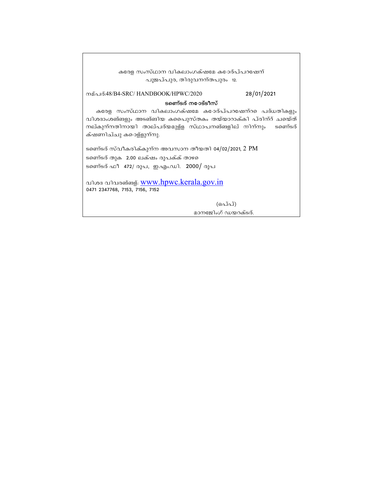| കരേള സംസ്ഥാന വികലാംഗക്ഷമേ ക <b>ോര്പ്പറ</b> ഷേന്                                                                                                                                                                              |
|------------------------------------------------------------------------------------------------------------------------------------------------------------------------------------------------------------------------------|
| പൂജപ്പുര, തിരുവനന്തപുരം 12.                                                                                                                                                                                                  |
| 28/01/2021<br>നമ്പര്:48/B4-SRC/ HANDBOOK/HPWC/2020                                                                                                                                                                           |
| ടണെ്ടര് ന <b>ോട്</b> ടീസ്                                                                                                                                                                                                    |
| കരേള സംസ്ഥാന വികലാംഗക്ഷമേ ക <b>ോര്പ്പറഷേന്റ</b> െ പദ്ധതികളും<br>വിശദാംശങ്ങളും അടങ്ങിയ കപൈുസ്തകം തയ്യാറാക്കി പ്രിന്റ് ചയെ്ത്<br>നല്കുന്നതിനായി താല്പര്യമുള്ള സ്ഥാപനങ്ങളില് നിന്നും  ടണെ്ടര്<br>ക്ഷണിച്ചു ക <b>ൊള്</b> ളുന്നു. |
| ടണെ്ടര് സ്വീകരിക്കുന്ന അവസാന തീയതി 04/02/2021, 2 PM<br>ടണെ്ടര് തുക 2.00 ലക്ഷം രൂപക്ക് താഴ<br>ടണെ്ടര് ഫീ 472/ രൂപ, ഇ.എം.ഡി. 2000/ രൂപ                                                                                         |
| വിശദ വിവരങ്ങള്. www.hpwc.kerala.gov.in<br>0471 2347768, 7153, 7156, 7152                                                                                                                                                     |
| (ഒപ്പ്)                                                                                                                                                                                                                      |

മാനേജിംഗ്ഡയറക്ടര്.